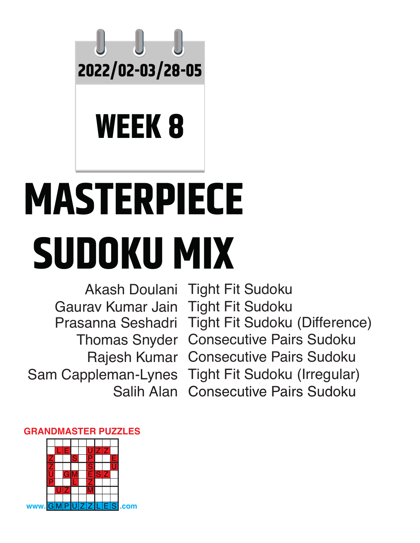

## **WEEK 8**

# **MASTERPIECE SUDOKU MIX**

Gaurav Kumar Jain Tight Fit Sudoku Salih Alan

Akash Doulani Tight Fit Sudoku Prasanna Seshadri Tight Fit Sudoku (Difference)Thomas Snyder Consecutive Pairs Sudoku Rajesh Kumar Consecutive Pairs Sudoku Sam Cappleman-Lynes Tight Fit Sudoku (Irregular) **Consecutive Pairs Sudoku** 



#### **GRANDMASTER PUZZLES**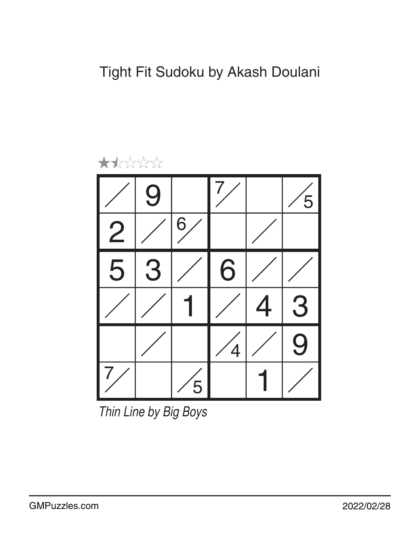

*Thin Line by Big Boys*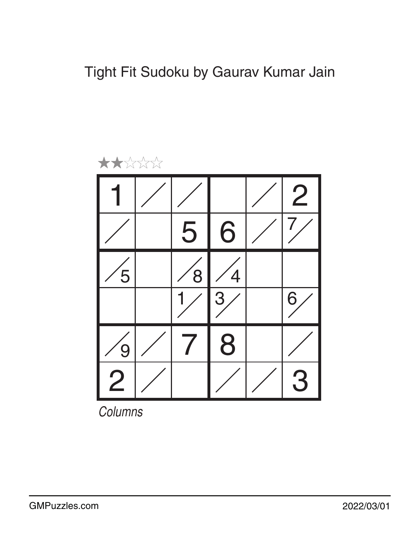

*Columns*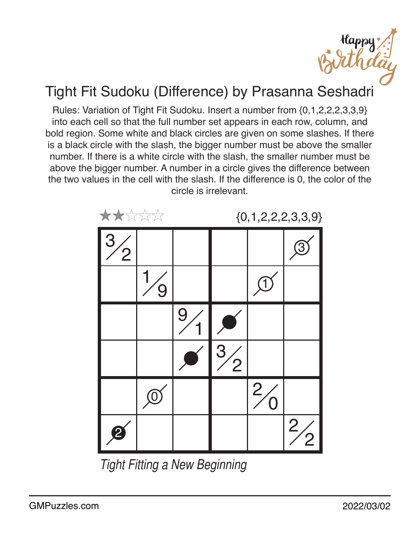Happy<br>In the d

### Tight Fit Sudoku (Difference) by Prasanna Seshadri

Rules: Variation of Tight Fit Sudoku. Insert a number from {0,1,2,2,2,3,3,9} into each cell so that the full number set appears in each row, column, and bold region. Some white and black circles are given on some slashes. If there is a black circle with the slash, the bigger number must be above the smaller number. If there is a white circle with the slash, the smaller number must be above the bigger number. A number in a circle gives the difference between the two values in the cell with the slash. If the difference is 0, the color of the circle is irrelevant.



*Tight Fitting a New Beginning*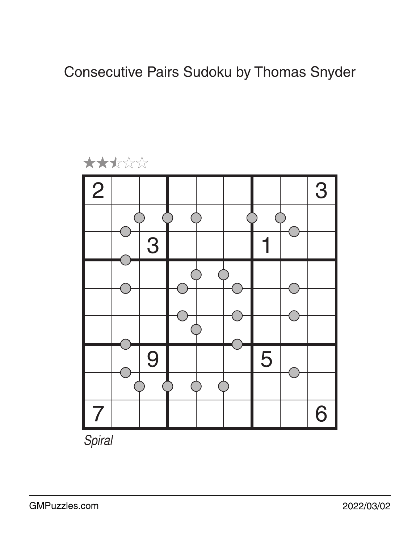Consecutive Pairs Sudoku by Thomas Snyder



*Spiral*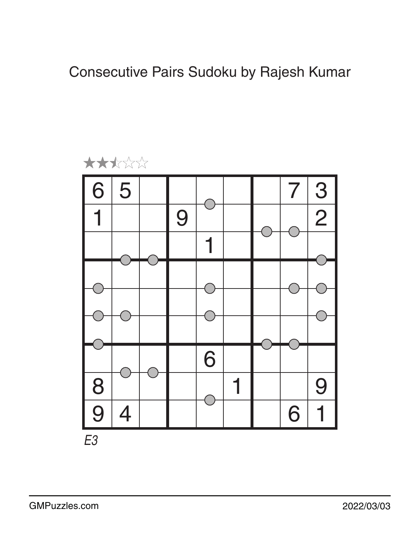Consecutive Pairs Sudoku by Rajesh Kumar

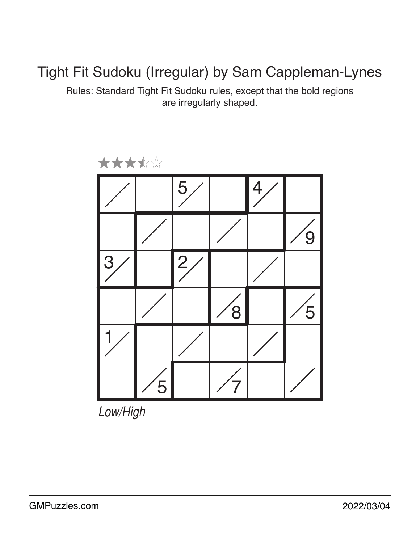#### Tight Fit Sudoku (Irregular) by Sam Cappleman-Lynes

Rules: Standard Tight Fit Sudoku rules, except that the bold regions are irregularly shaped.



*Low/High*